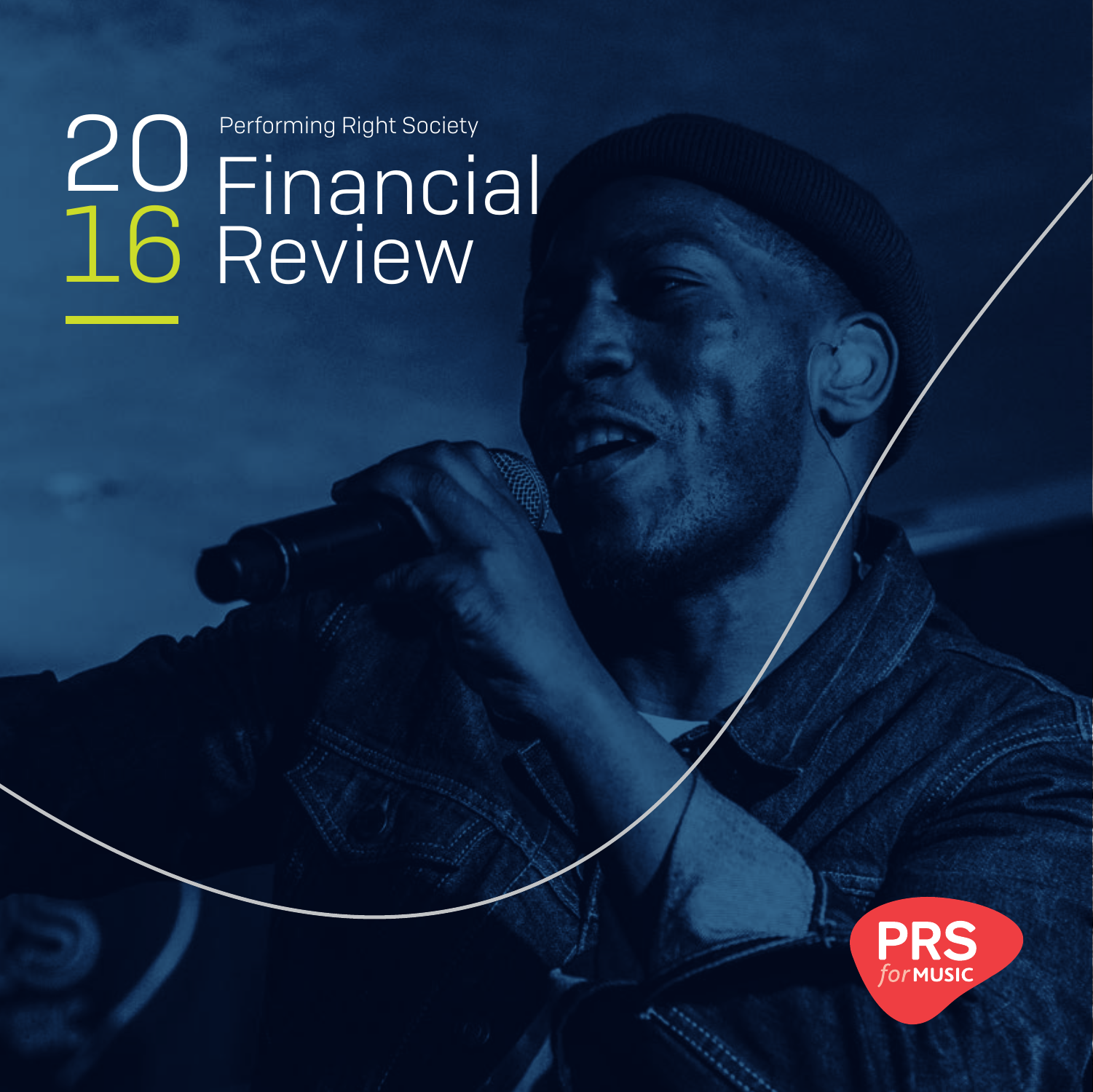## Financial Review **Performing Right Society** 16

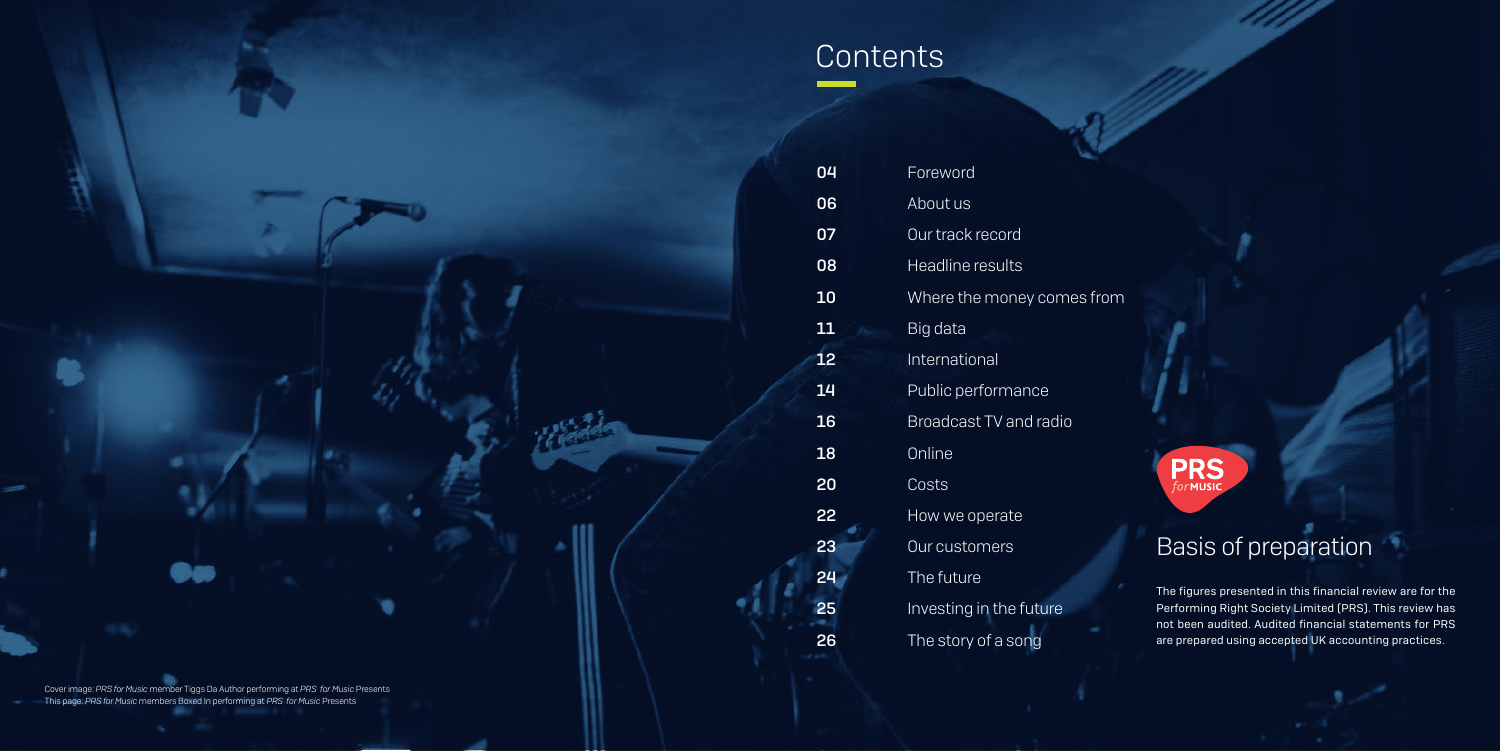## Contents

| 04              | Foreword                      |
|-----------------|-------------------------------|
| 06              | About us                      |
| 07              | Our track record              |
| 08              | <b>Headline results</b>       |
| 10              | Where the money comes from    |
| 11              | Big data                      |
| 12              | International                 |
| 14              | Public performance            |
| 16              | <b>Broadcast TV and radio</b> |
| 18              | Online                        |
| 20              | Costs                         |
| 22              | How we operate                |
| 23              | Our customers                 |
| 24              | The future                    |
| $\overline{25}$ | Investing in the future       |
| 26              | The story of a song           |

## Basis of preparation

The figures presented in this financial review are for the Performing Right Society Limited (PRS). This review has not been audited. Audited financial statements for PRS are prepared using accepted UK accounting practices.

Cover image: *PRS for Music* member Tiggs Da Author performing at *PRS for Music* Presents This page: *PRS for Music* members Boxed In performing at *PRS for Music* Presents

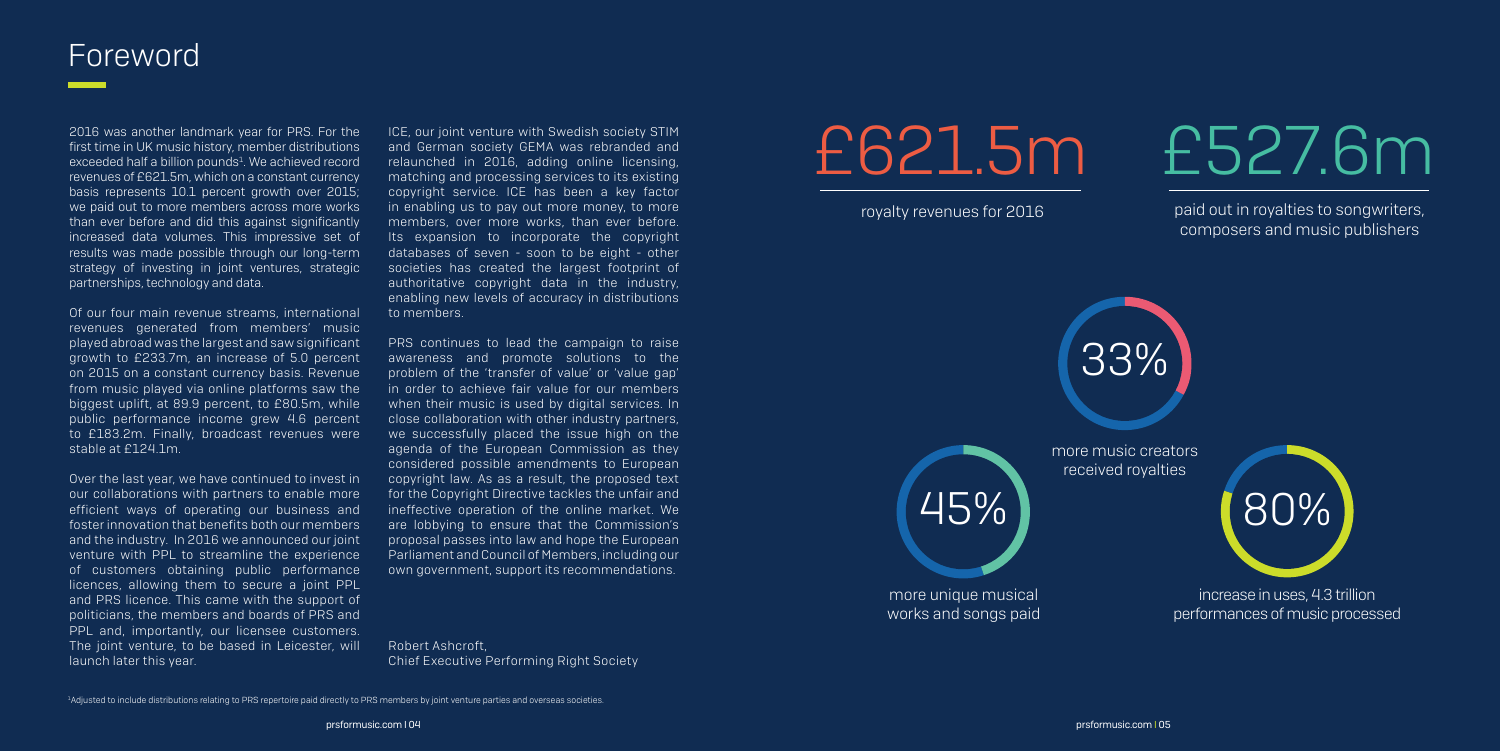2016 was another landmark year for PRS. For the first time in UK music history, member distributions exceeded half a billion pounds<sup>1</sup>. We achieved record revenues of £621.5m, which on a constant currency basis represents 10.1 percent growth over 2015; we paid out to more members across more works than ever before and did this against significantly increased data volumes. This impressive set of results was made possible through our long-term strategy of investing in joint ventures, strategic partnerships, technology and data.

Of our four main revenue streams, international revenues generated from members' music played abroad was the largest and saw significant growth to £233.7m, an increase of 5.0 percent on 2015 on a constant currency basis. Revenue from music played via online platforms saw the biggest uplift, at 89.9 percent, to £80.5m, while public performance income grew 4.6 percent to £183.2m. Finally, broadcast revenues were stable at £124.1m.

Over the last year, we have continued to invest in our collaborations with partners to enable more efficient ways of operating our business and foster innovation that benefits both our members and the industry. In 2016 we announced our joint venture with PPL to streamline the experience of customers obtaining public performance licences, allowing them to secure a joint PPL and PRS licence. This came with the support of politicians, the members and boards of PRS and PPL and, importantly, our licensee customers. The joint venture, to be based in Leicester, will launch later this year.

ICE, our joint venture with Swedish society STIM and German society GEMA was rebranded and relaunched in 2016, adding online licensing, matching and processing services to its existing copyright service. ICE has been a key factor in enabling us to pay out more money, to more members, over more works, than ever before. Its expansion to incorporate the copyright databases of seven - soon to be eight - other societies has created the largest footprint of authoritative copyright data in the industry, enabling new levels of accuracy in distributions to members.

PRS continues to lead the campaign to raise awareness and promote solutions to the problem of the 'transfer of value' or 'value gap' in order to achieve fair value for our members when their music is used by digital services. In close collaboration with other industry partners, we successfully placed the issue high on the agenda of the European Commission as they considered possible amendments to European copyright law. As as a result, the proposed text for the Copyright Directive tackles the unfair and ineffective operation of the online market. We are lobbying to ensure that the Commission's proposal passes into law and hope the European Parliament and Council of Members, including our own government, support its recommendations.

Robert Ashcroft, Chief Executive Performing Right Society

## Foreword

1 Adjusted to include distributions relating to PRS repertoire paid directly to PRS members by joint venture parties and overseas societies.

paid out in royalties to songwriters, composers and music publishers





royalty revenues for 2016

45%

more unique musical works and songs paid



33%

more music creators received royalties

> increase in uses, 4.3 trillion performances of music processed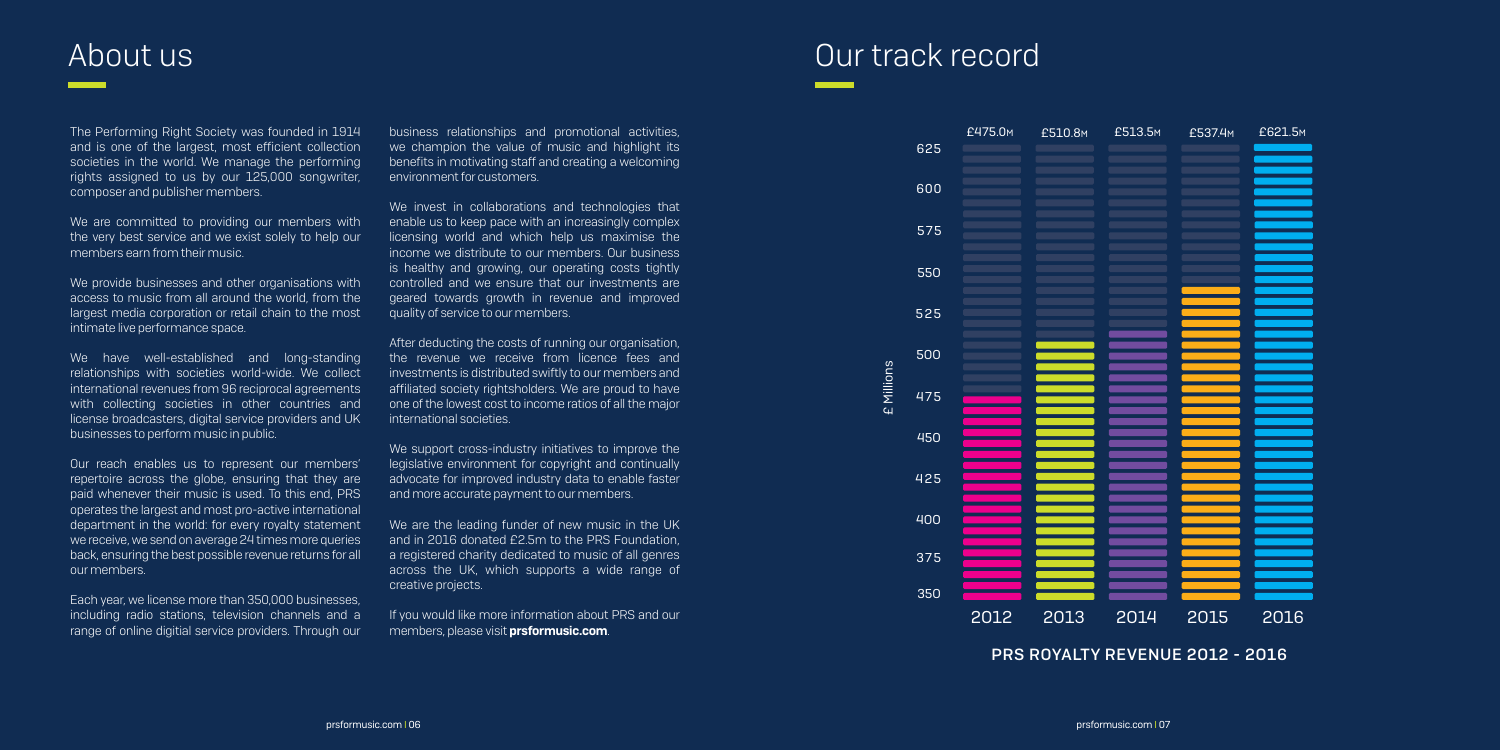## Our track record

The Performing Right Society was founded in 1914 and is one of the largest, most efficient collection societies in the world. We manage the performing rights assigned to us by our 125,000 songwriter, composer and publisher members.

We provide businesses and other organisations with access to music from all around the world, from the largest media corporation or retail chain to the most intimate live performance space.

We are committed to providing our members with the very best service and we exist solely to help our members earn from their music.

We have well-established and long-standing relationships with societies world-wide. We collect international revenues from 96 reciprocal agreements with collecting societies in other countries and license broadcasters, digital service providers and UK businesses to perform music in public.

Our reach enables us to represent our members' repertoire across the globe, ensuring that they are paid whenever their music is used. To this end, PRS operates the largest and most pro-active international department in the world: for every royalty statement we receive, we send on average 24 times more queries back, ensuring the best possible revenue returns for all our members.

Each year, we license more than 350,000 businesses, including radio stations, television channels and a range of online digitial service providers. Through our

If you would like more information about PRS and our members, please visit **prsformusic.com**.

business relationships and promotional activities, we champion the value of music and highlight its benefits in motivating staff and creating a welcoming environment for customers.

We invest in collaborations and technologies that enable us to keep pace with an increasingly complex licensing world and which help us maximise the income we distribute to our members. Our business is healthy and growing, our operating costs tightly controlled and we ensure that our investments are geared towards growth in revenue and improved quality of service to our members.

After deducting the costs of running our organisation, the revenue we receive from licence fees and investments is distributed swiftly to our members and affiliated society rightsholders. We are proud to have one of the lowest cost to income ratios of all the major international societies.

We support cross-industry initiatives to improve the legislative environment for copyright and continually advocate for improved industry data to enable faster and more accurate payment to our members.

We are the leading funder of new music in the UK and in 2016 donated £2.5m to the PRS Foundation, a registered charity dedicated to music of all genres across the UK, which supports a wide range of creative projects.

## About us

| L3.5м            | £537.4 <sub>M</sub> | £621.5 <sub>M</sub> |
|------------------|---------------------|---------------------|
|                  |                     |                     |
|                  |                     |                     |
|                  |                     |                     |
|                  |                     |                     |
|                  |                     |                     |
| $\overline{)14}$ | 2015                | 2016                |

PRS ROYALTY REVENUE 2O12 - 2O16

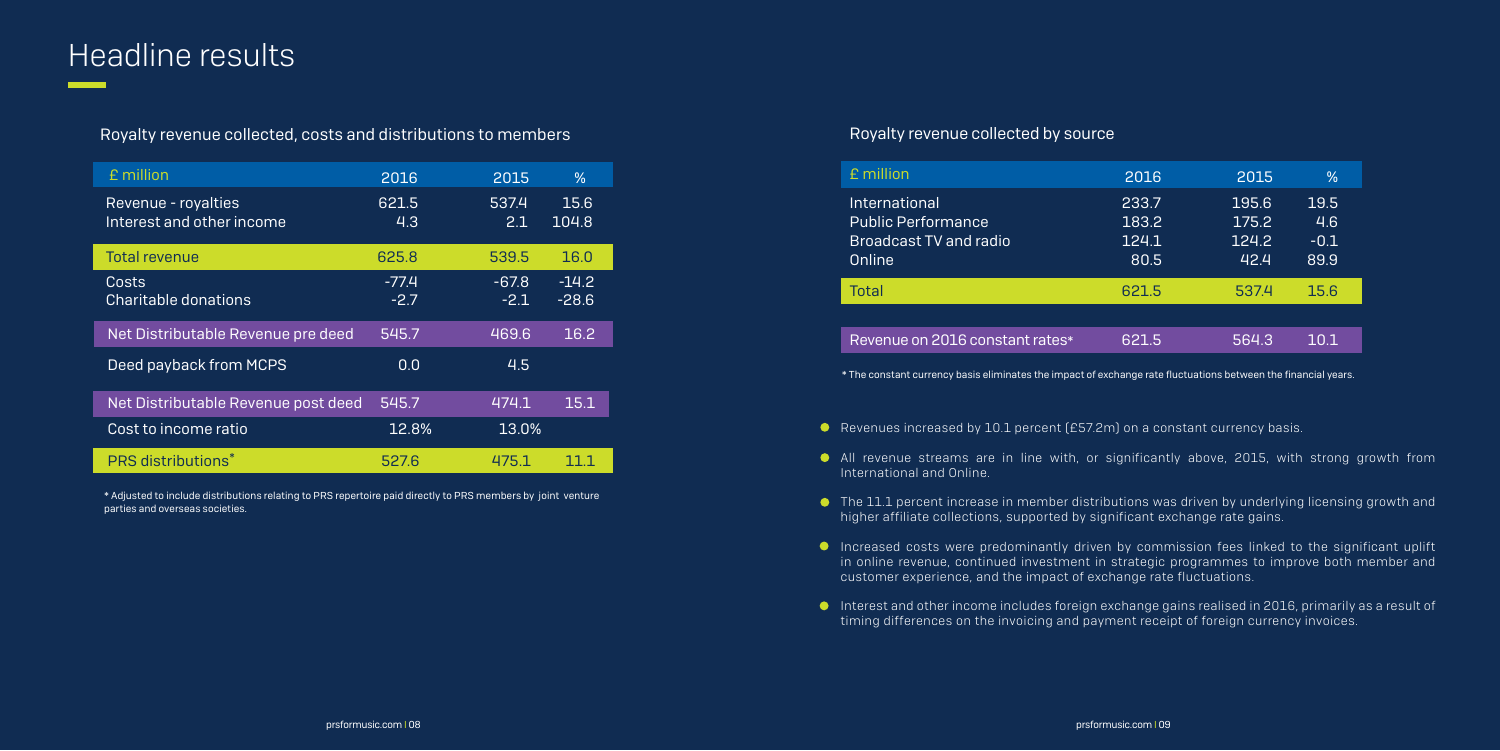## Headline results

### Royalty revenue collected, costs and distributions to members

\* Adjusted to include distributions relating to PRS repertoire paid directly to PRS members by joint venture parties and overseas societies.

| £ million                                        | 2016              | 2015              | $\frac{0}{0}$      |
|--------------------------------------------------|-------------------|-------------------|--------------------|
| Revenue - royalties<br>Interest and other income | 621.5<br>4.3      | 537.4<br>2.1      | 15.6<br>104.8      |
| <b>Total revenue</b>                             | 625.8             | 539.5             | 16.0               |
| Costs<br><b>Charitable donations</b>             | $-77.4$<br>$-2.7$ | $-67.8$<br>$-2.1$ | $-14.2$<br>$-28.6$ |
| Net Distributable Revenue pre deed               | 545.7             | 469.6             | 16.2               |
| Deed payback from MCPS                           | 0.0               | 4.5               |                    |
| Net Distributable Revenue post deed              | 545.7             | 474.1             | 15.1               |
| Cost to income ratio                             | 12.8%             | 13.0%             |                    |
| <b>PRS distributions*</b>                        | 527.6             | 475.1             |                    |

- Revenues increased by 10.1 percent (£57.2m) on a constant currency basis.
- All revenue streams are in line with, or significantly above, 2015, with strong growth from International and Online.
- The 11.1 percent increase in member distributions was driven by underlying licensing growth and higher affiliate collections, supported by significant exchange rate gains.
- Increased costs were predominantly driven by commission fees linked to the significant uplift customer experience, and the impact of exchange rate fluctuations.
- Interest and other income includes foreign exchange gains realised in 2016, primarily as a result of timing differences on the invoicing and payment receipt of foreign currency invoices.

in online revenue, continued investment in strategic programmes to improve both member and

| £ million                                                                             | 2016                            | 2015                            | $\%$                          |
|---------------------------------------------------------------------------------------|---------------------------------|---------------------------------|-------------------------------|
| International<br><b>Public Performance</b><br><b>Broadcast TV and radio</b><br>Online | 233.7<br>183.2<br>124.1<br>80.5 | 195.6<br>175.2<br>124.2<br>42.4 | 19.5<br>4.6<br>$-0.1$<br>89.9 |
| <b>Total</b>                                                                          | 621.5                           | 537.4                           | 15.6                          |
|                                                                                       |                                 |                                 |                               |
| Revenue on 2016 constant rates*                                                       | 621.5                           | 564.3                           | 10.1                          |

### Royalty revenue collected by source

\* The constant currency basis eliminates the impact of exchange rate fluctuations between the financial years.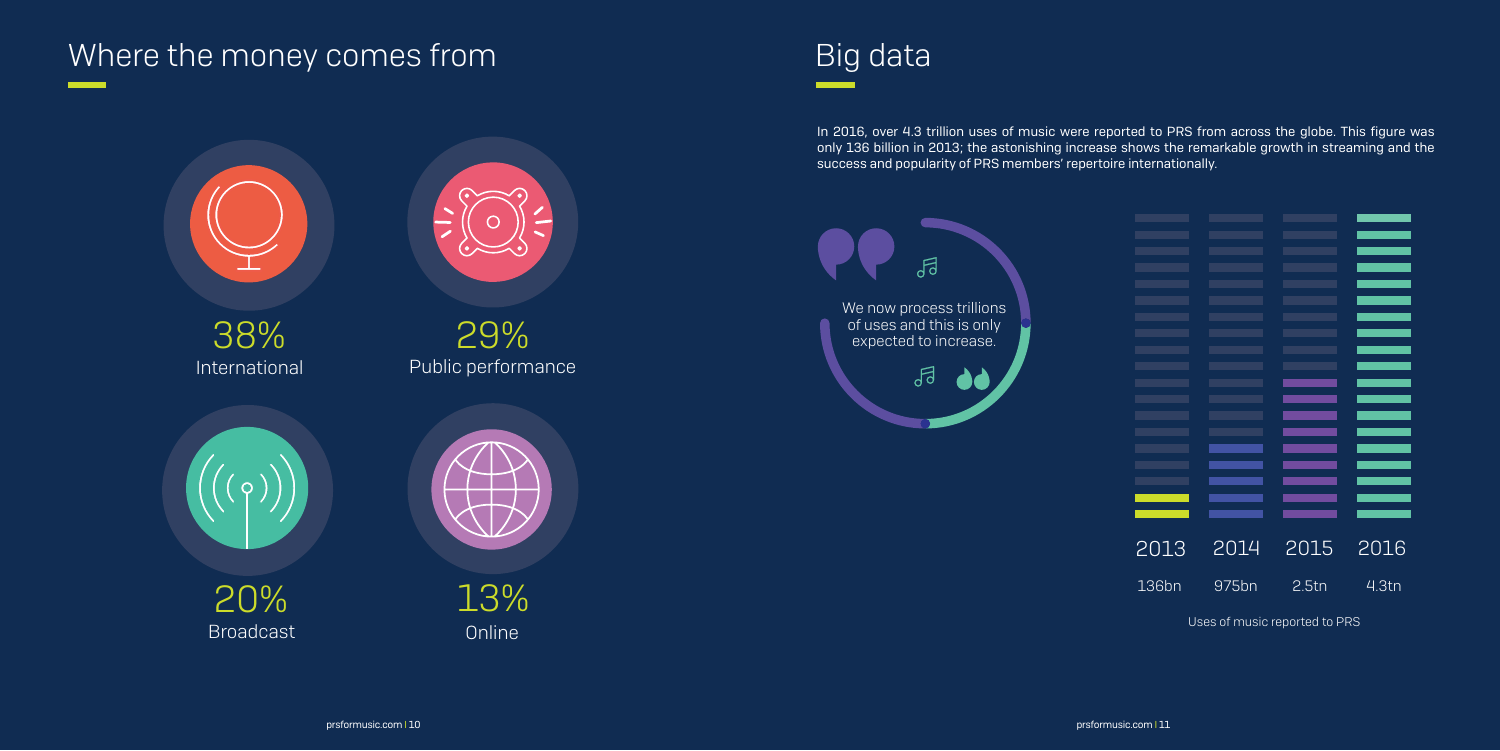## Where the money comes from The Community Comes from The Big data

In 2016, over 4.3 trillion uses of music were reported to PRS from across the globe. This figure was only 136 billion in 2013; the astonishing increase shows the remarkable growth in streaming and the success and popularity of PRS members' repertoire internationally.





|       | $\overline{2}014$ | 2015  | 2016              |
|-------|-------------------|-------|-------------------|
| 2013  |                   |       |                   |
|       |                   |       |                   |
| 136bn | 975bn             | 2.5tn | 4.3 <sub>tn</sub> |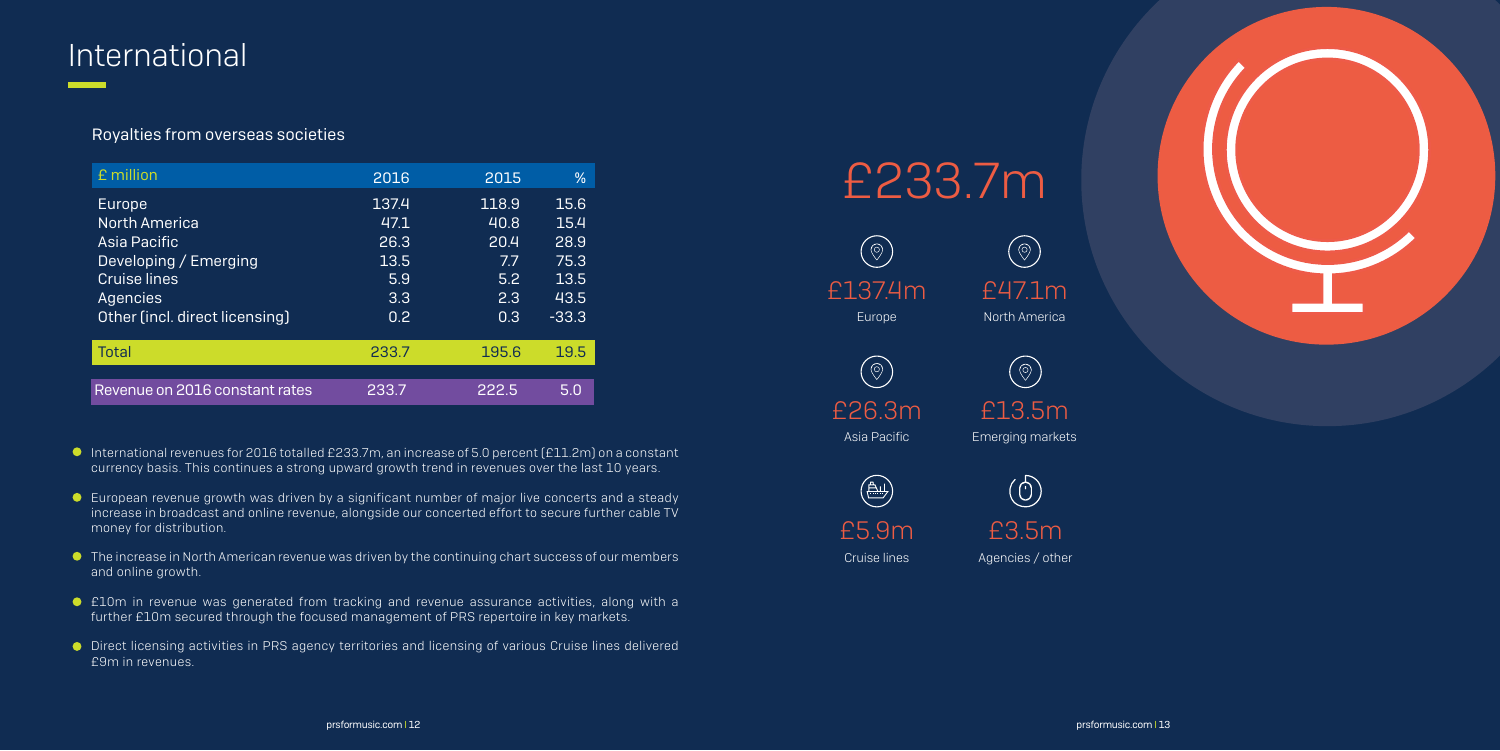## International

- International revenues for 2016 totalled £233.7m, an increase of 5.0 percent (£11.2m) on a constant currency basis. This continues a strong upward growth trend in revenues over the last 10 years.
- European revenue growth was driven by a significant number of major live concerts and a steady increase in broadcast and online revenue, alongside our concerted effort to secure further cable TV money for distribution.
- The increase in North American revenue was driven by the continuing chart success of our members and online growth.
- £10m in revenue was generated from tracking and revenue assurance activities, along with a further £10m secured through the focused management of PRS repertoire in key markets.
- Direct licensing activities in PRS agency territories and licensing of various Cruise lines delivered £9m in revenues.

### Royalties from overseas societies

| £ million                      | 2016  | 2015  | ℅       |
|--------------------------------|-------|-------|---------|
| Europe                         | 137.4 | 118.9 | 15.6    |
| <b>North America</b>           | 47.1  | 40.8  | 15.4    |
| Asia Pacific                   | 26.3  | 20.4  | 28.9    |
| Developing / Emerging          | 13.5  | 77    | 75.3    |
| <b>Cruise lines</b>            | 5.9   | 5.2   | 13.5    |
| Agencies                       | 3.3   | 2.3   | 43.5    |
| Other (incl. direct licensing) | 0.2   | 0.3   | $-33.3$ |
| <b>Total</b>                   | 233.7 | 195.6 | 19.5    |
|                                |       |       |         |
| Revenue on 2016 constant rates | 233.7 | 222.5 | 5.0     |



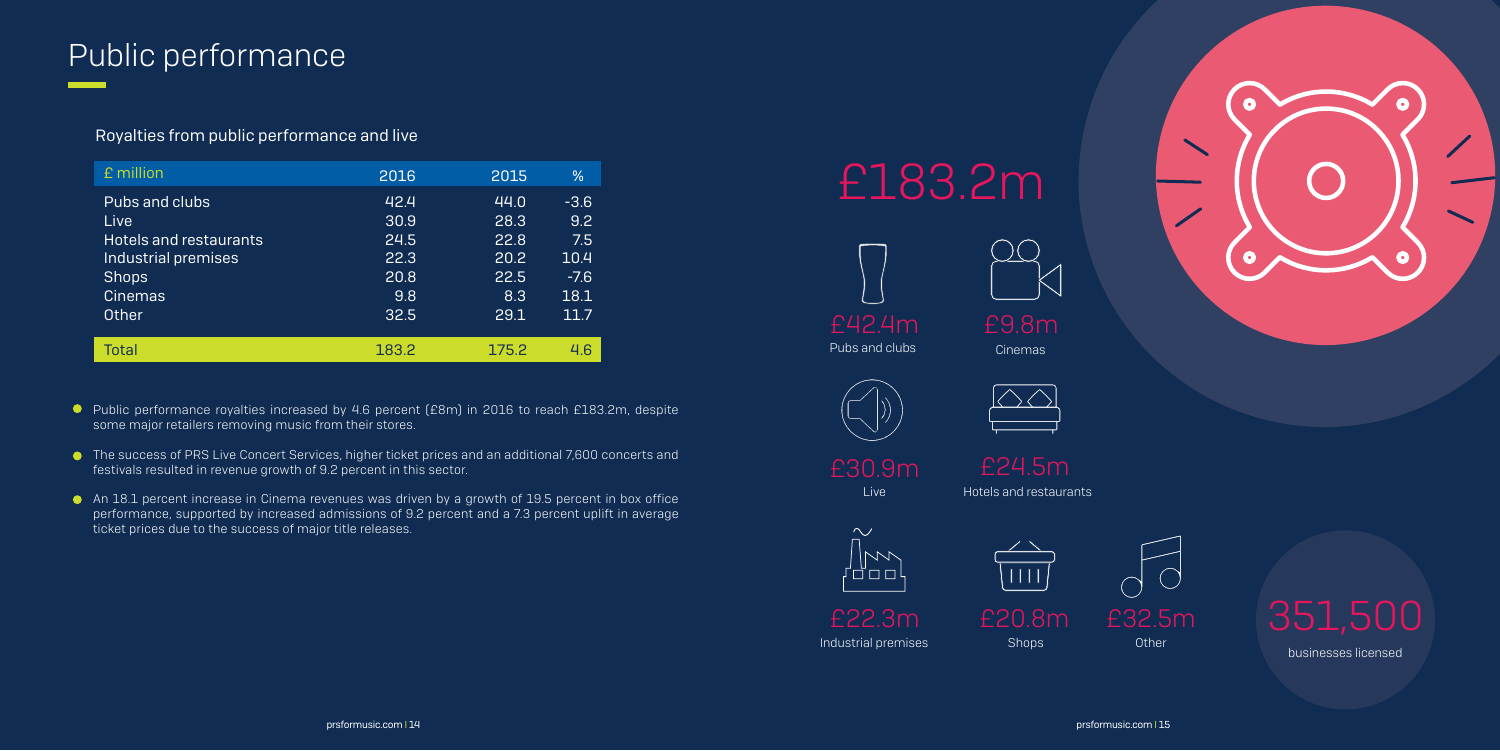## Public performance

| £ million                                                                                      | 2016                                 | 2015                                 | $\%$                                   |
|------------------------------------------------------------------------------------------------|--------------------------------------|--------------------------------------|----------------------------------------|
| Pubs and clubs<br>Live<br><b>Hotels and restaurants</b><br>Industrial premises<br><b>Shops</b> | 42.4<br>30.9<br>24.5<br>22.3<br>20.8 | 44.0<br>28.3<br>22.8<br>20.2<br>22.5 | $-3.6$<br>9.2<br>7.5<br>10.4<br>$-7.6$ |
| <b>Cinemas</b><br>Other                                                                        | 9.8<br>32.5                          | 8.3<br>29.1                          | 18.1<br>11.7                           |
| Total                                                                                          | 183.2                                | 175.2                                | 46                                     |

### Royalties from public performance and live

- **P** Public performance royalties increased by 4.6 percent (£8m) in 2016 to reach £183.2m, despite some major retailers removing music from their stores.
- The success of PRS Live Concert Services, higher ticket prices and an additional 7,600 concerts and festivals resulted in revenue growth of 9.2 percent in this sector.
- An 18.1 percent increase in Cinema revenues was driven by a growth of 19.5 percent in box office performance, supported by increased admissions of 9.2 percent and a 7.3 percent uplift in average ticket prices due to the success of major title releases.

# £183.2m

Live Hotels and restaurants





Pubs and clubs

Industrial premises £22.3m

Shops £20.8m





Cinemas









businesses licensed

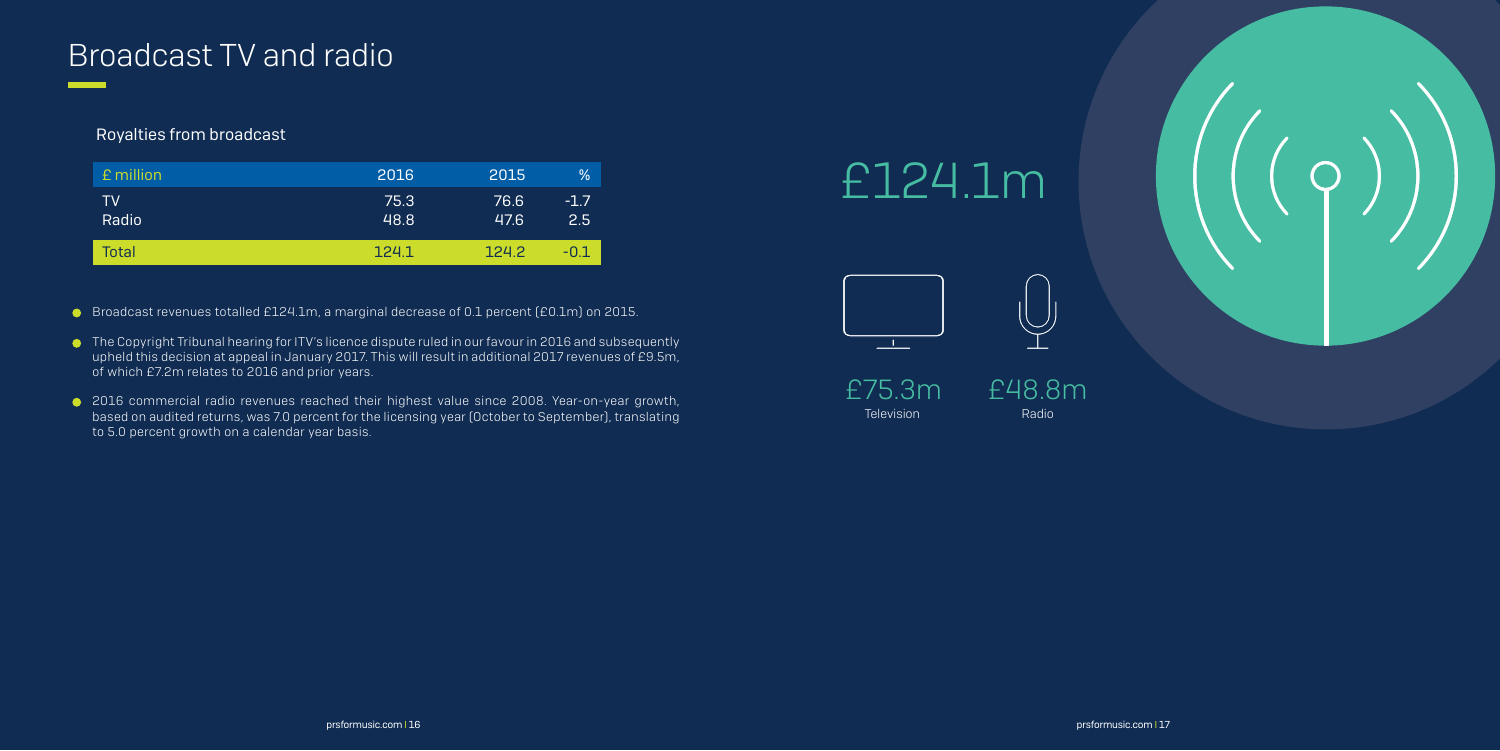

## Broadcast TV and radio

| £ million    | 2016         | 2015         | $\%$          |
|--------------|--------------|--------------|---------------|
| TV<br>Radio  | 75.3<br>48.8 | 76.6<br>47.6 | $-1.7$<br>2.5 |
| <b>Total</b> | 124.1        | 1242         | -0.1          |

### Royalties from broadcast

- Broadcast revenues totalled £124.1m, a marginal decrease of 0.1 percent (£0.1m) on 2015.
- The Copyright Tribunal hearing for ITV's licence dispute ruled in our favour in 2016 and subsequently upheld this decision at appeal in January 2017. This will result in additional 2017 revenues of £9.5m, of which £7.2m relates to 2016 and prior years.
- 2016 commercial radio revenues reached their highest value since 2008. Year-on-year growth, based on audited returns, was 7.0 percent for the licensing year (October to September), translating to 5.0 percent growth on a calendar year basis.



# £124.1m



Television Radio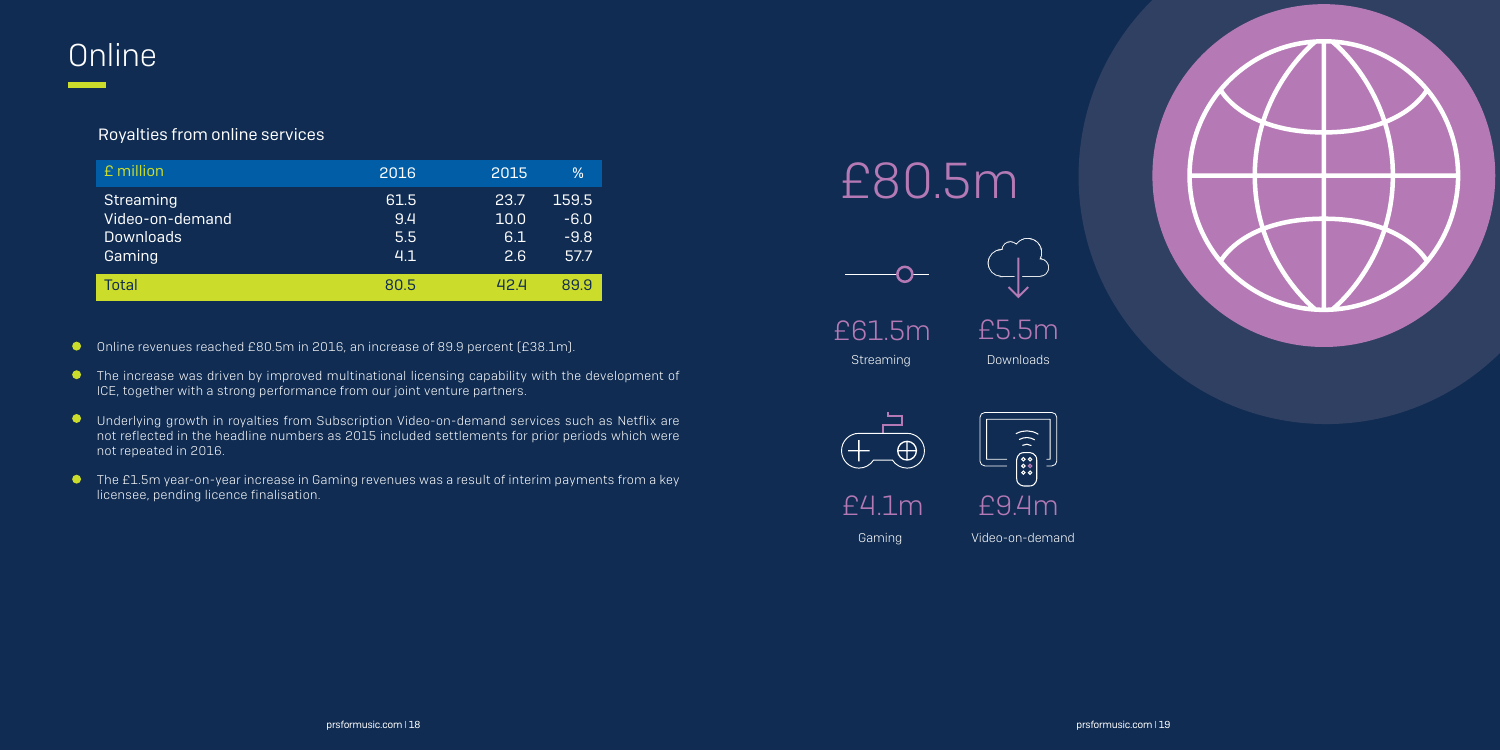| £ million                                                  | 2016                      | 2015                       | %                                 |
|------------------------------------------------------------|---------------------------|----------------------------|-----------------------------------|
| Streaming<br>Video-on-demand<br><b>Downloads</b><br>Gaming | 61.5<br>9.4<br>5.5<br>4.1 | 23.7<br>10.0<br>6.1<br>2.6 | 159.5<br>$-6.0$<br>$-9.8$<br>57.7 |
| Total                                                      | 80.5                      | 42 4                       | 899                               |

## **Online**

### Royalties from online services

Streaming Downloads £61.5m

- Online revenues reached £80.5m in 2016, an increase of 89.9 percent (£38.1m).
- **•** The increase was driven by improved multinational licensing capability with the development of ICE, together with a strong performance from our joint venture partners.
- $\bullet$ Underlying growth in royalties from Subscription Video-on-demand services such as Netflix are not reflected in the headline numbers as 2015 included settlements for prior periods which were not repeated in 2016.
- The £1.5m year-on-year increase in Gaming revenues was a result of interim payments from a key licensee, pending licence finalisation.



 $\bigoplus$ 



Gaming Video-on-demand

# £80.5m



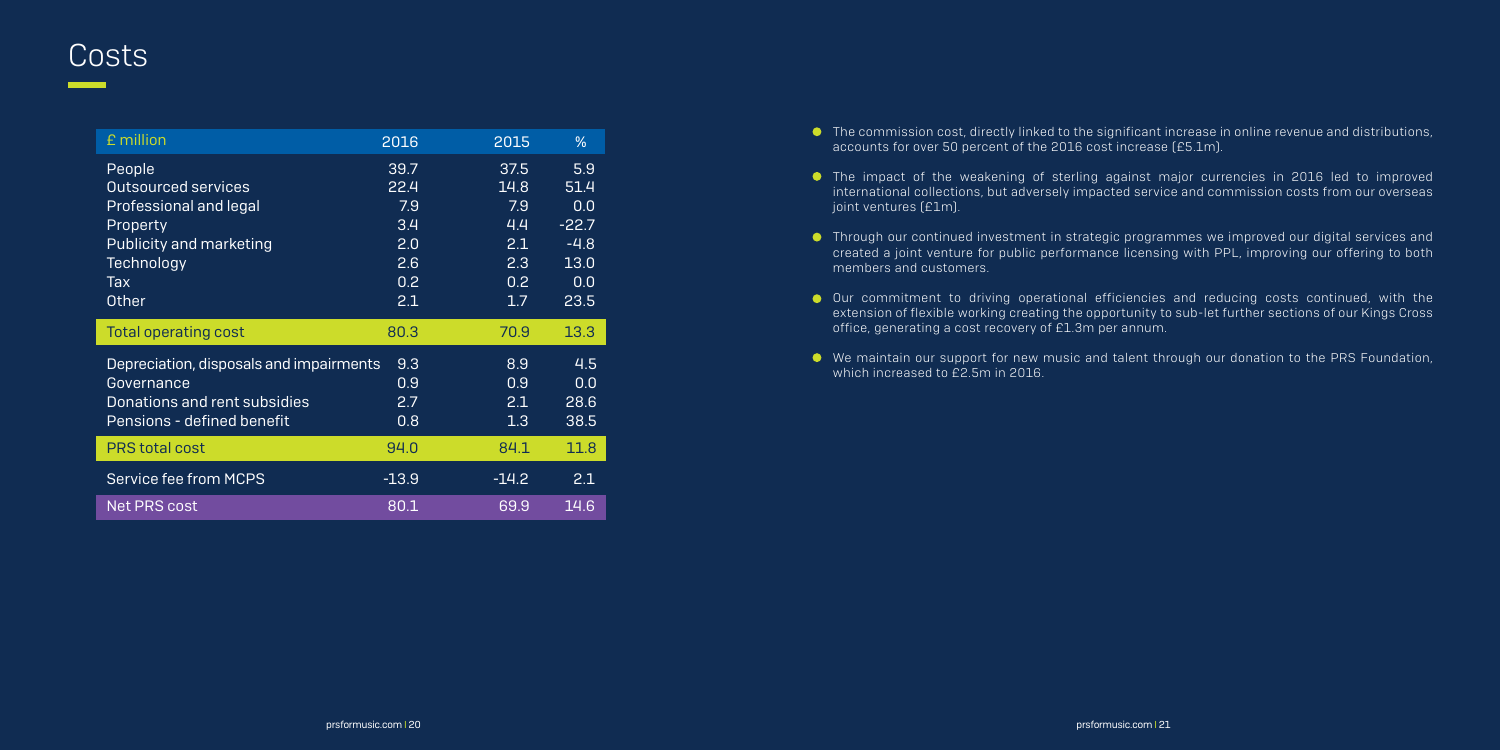## **Costs**

| £ million                               | 2016    | 2015    | $\frac{9}{6}$ |
|-----------------------------------------|---------|---------|---------------|
| People                                  | 39.7    | 37.5    | 5.9           |
| <b>Outsourced services</b>              | 22.4    | 14.8    | 51.4          |
| Professional and legal                  | 7.9     | 7.9     | 0.0           |
| Property                                | 3.4     | 4.4     | $-22.7$       |
| <b>Publicity and marketing</b>          | 2.0     | 2.1     | $-4.8$        |
| Technology                              | 2.6     | 2.3     | 13.0          |
| <b>Tax</b>                              | 0.2     | 0.2     | 0.0           |
| <b>Other</b>                            | 2.1     | 1.7     | 23.5          |
|                                         |         |         |               |
| <b>Total operating cost</b>             | 80.3    | 70.9    | 13.3          |
| Depreciation, disposals and impairments | 9.3     | 8.9     | 4.5           |
| Governance                              | 0.9     | 0.9     | 0.0           |
| Donations and rent subsidies            | 2.7     | 2.1     | 28.6          |
| Pensions - defined benefit              | 0.8     | 1.3     | 38.5          |
| <b>PRS total cost</b>                   | 94.0    | 84.1    | 11.8          |
| Service fee from MCPS                   | $-13.9$ | $-14.2$ | 2.1           |

- The commission cost, directly linked to the significant increase in online revenue and distributions, accounts for over 50 percent of the 2016 cost increase (£5.1m).
- The impact of the weakening of sterling against major currencies in 2016 led to improved international collections, but adversely impacted service and commission costs from our overseas joint ventures (£1m).
- Through our continued investment in strategic programmes we improved our digital services and created a joint venture for public performance licensing with PPL, improving our offering to both members and customers.
- Our commitment to driving operational efficiencies and reducing costs continued, with the extension of flexible working creating the opportunity to sub-let further sections of our Kings Cross office, generating a cost recovery of £1.3m per annum.
- We maintain our support for new music and talent through our donation to the PRS Foundation, which increased to £2.5m in 2016.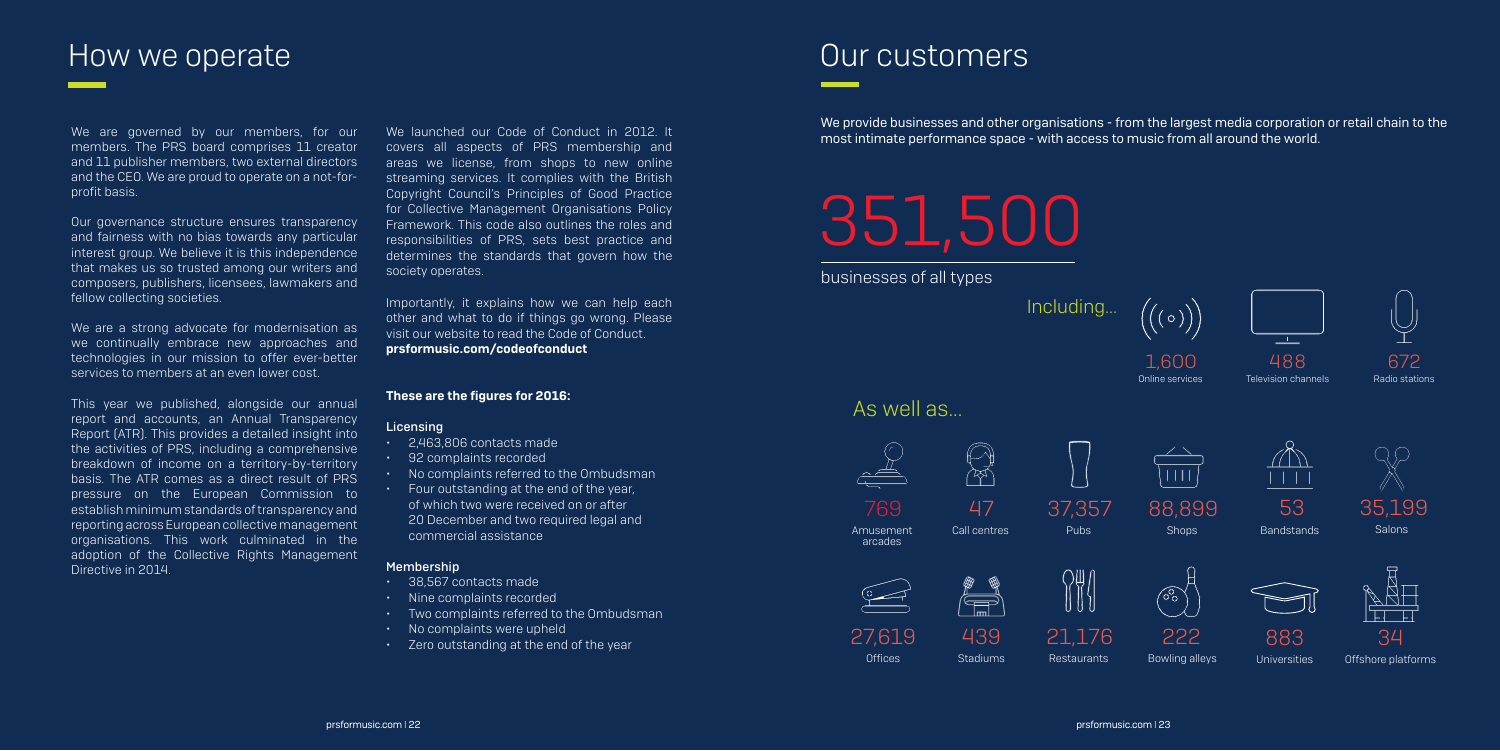## How we operate **EXALL A REGISTER** CONTROLLER THE METAL CONTROLLER CONTROLLER CONTROLLER CONTROLLER CONTROLLER CON

We are governed by our members, for our members. The PRS board comprises 11 creator and 11 publisher members, two external directors and the CEO. We are proud to operate on a not-forprofit basis.

Our governance structure ensures transparency and fairness with no bias towards any particular interest group. We believe it is this independence that makes us so trusted among our writers and composers, publishers, licensees, lawmakers and fellow collecting societies.

We are a strong advocate for modernisation as we continually embrace new approaches and technologies in our mission to offer ever-better services to members at an even lower cost.

This year we published, alongside our annual report and accounts, an Annual Transparency Report (ATR). This provides a detailed insight into the activities of PRS, including a comprehensive breakdown of income on a territory-by-territory basis. The ATR comes as a direct result of PRS pressure on the European Commission to establish minimum standards of transparency and reporting across European collective management organisations. This work culminated in the adoption of the Collective Rights Management Directive in 2014.

- • 38,567 contacts made
- • Nine complaints recorded
- • Two complaints referred to the Ombudsman
- No complaints were upheld
- Zero outstanding at the end of the year



**Salons** 

**Offices** 27,619



**Universities** 883

**Bandstands** 53

We launched our Code of Conduct in 2012. It covers all aspects of PRS membership and areas we license, from shops to new online streaming services. It complies with the British Copyright Council's Principles of Good Practice for Collective Management Organisations Policy Framework. This code also outlines the roles and responsibilities of PRS, sets best practice and determines the standards that govern how the society operates.

Importantly, it explains how we can help each other and what to do if things go wrong. Please visit our website to read the Code of Conduct. prsformusic.com/codeofconduct

### These are the figures for 2016:

### Licensing

- • 2,463,806 contacts made
- • 92 complaints recorded
- • No complaints referred to the Ombudsman
- • Four outstanding at the end of the year, of which two were received on or after 20 December and two required legal and commercial assistance

### Membership

most intimate performance space - with access to music from all around the world.

# 351,500

businesses of all types

Including...



1,6OO Online services





### As well as...







488 Television channels

Amusement arcades

769





Call centres



Pubs



37,357





Restaurants 21,176



Bowling alleys 222



Offshore platforms



## We provide businesses and other organisations - from the largest media corporation or retail chain to the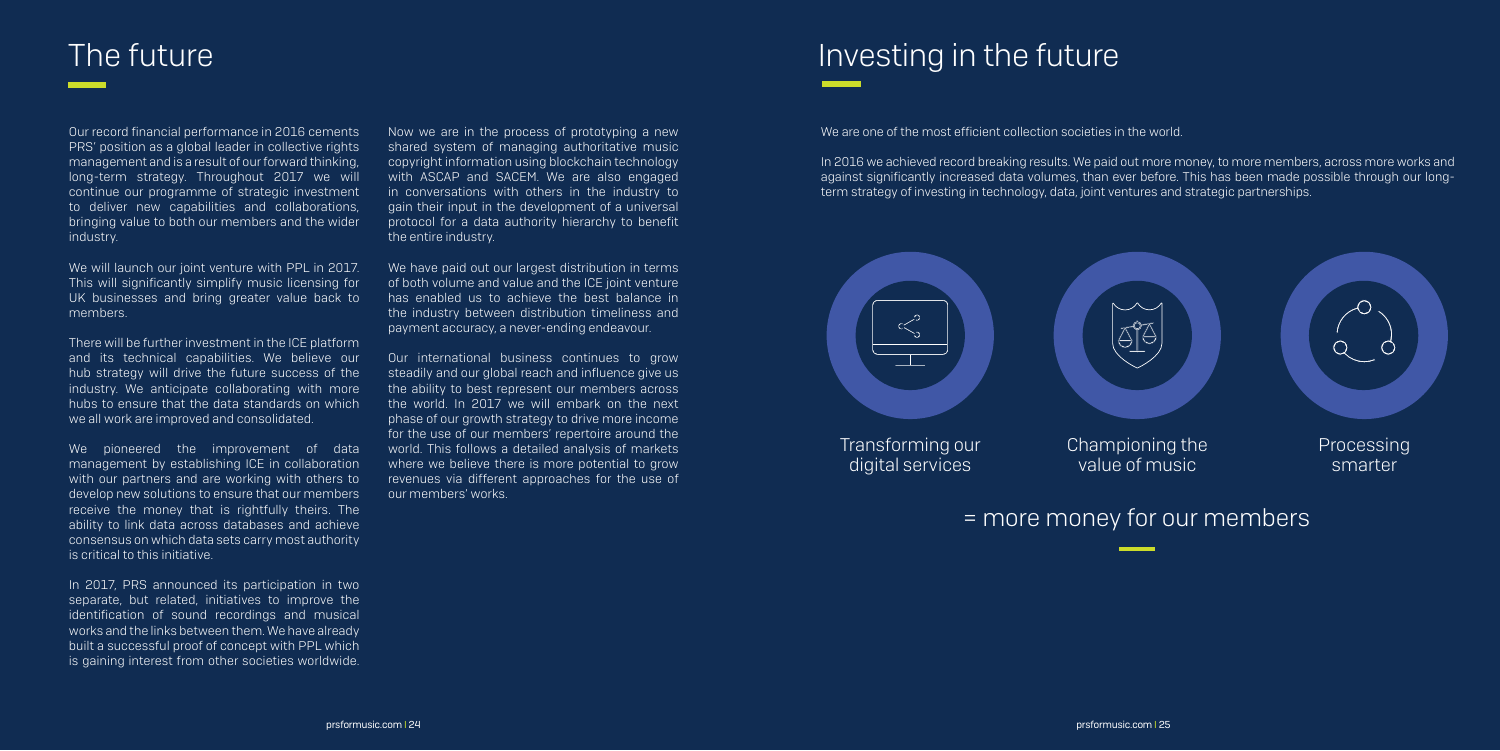Our record financial performance in 2016 cements PRS' position as a global leader in collective rights management and is a result of our forward thinking, long-term strategy. Throughout 2017 we will continue our programme of strategic investment to deliver new capabilities and collaborations, bringing value to both our members and the wider industry.

We will launch our joint venture with PPL in 2017. This will significantly simplify music licensing for UK businesses and bring greater value back to members.

We pioneered the improvement of data management by establishing ICE in collaboration with our partners and are working with others to develop new solutions to ensure that our members receive the money that is rightfully theirs. The ability to link data across databases and achieve consensus on which data sets carry most authority is critical to this initiative.

There will be further investment in the ICE platform and its technical capabilities. We believe our hub strategy will drive the future success of the industry. We anticipate collaborating with more hubs to ensure that the data standards on which we all work are improved and consolidated.

In 2017, PRS announced its participation in two separate, but related, initiatives to improve the identification of sound recordings and musical works and the links between them. We have already built a successful proof of concept with PPL which is gaining interest from other societies worldwide.

Now we are in the process of prototyping a new shared system of managing authoritative music copyright information using blockchain technology with ASCAP and SACEM. We are also engaged in conversations with others in the industry to gain their input in the development of a universal protocol for a data authority hierarchy to benefit the entire industry.

We have paid out our largest distribution in terms of both volume and value and the ICE joint venture has enabled us to achieve the best balance in the industry between distribution timeliness and payment accuracy, a never-ending endeavour.

Our international business continues to grow steadily and our global reach and influence give us the ability to best represent our members across the world. In 2017 we will embark on the next phase of our growth strategy to drive more income for the use of our members' repertoire around the world. This follows a detailed analysis of markets where we believe there is more potential to grow revenues via different approaches for the use of our members' works.

## The future Investing in the future

We are one of the most efficient collection societies in the world.

In 2016 we achieved record breaking results. We paid out more money, to more members, across more works and against significantly increased data volumes, than ever before. This has been made possible through our longterm strategy of investing in technology, data, joint ventures and strategic partnerships.



## = more money for our members

Transforming our digital services

Processing smarter

Championing the value of music

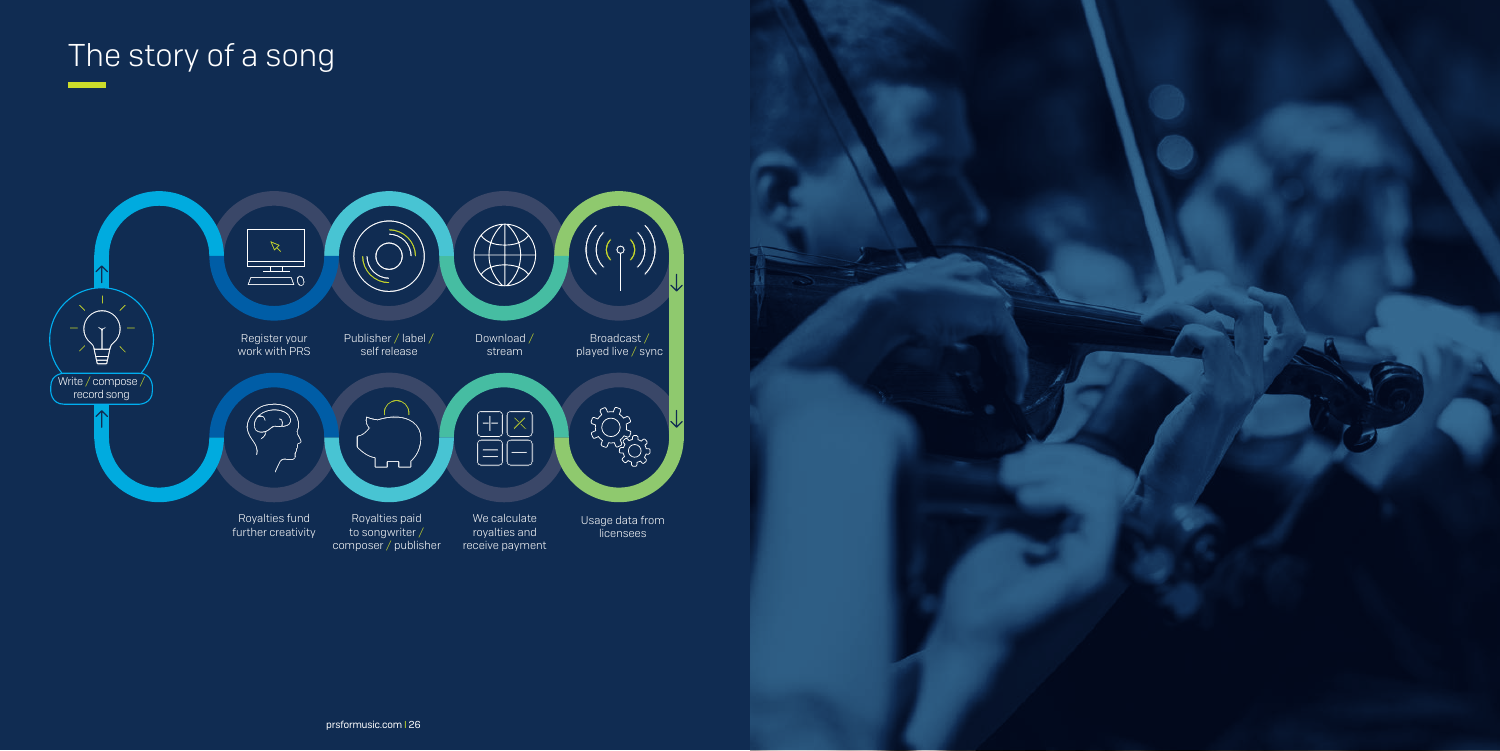## The story of a song